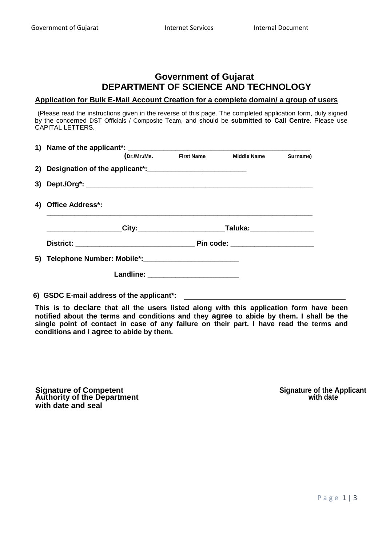# **Government of Gujarat DEPARTMENT OF SCIENCE AND TECHNOLOGY**

### **Application for Bulk E-Mail Account Creation for a complete domain/ a group of users**

(Please read the instructions given in the reverse of this page. The completed application form, duly signed by the concerned DST Officials / Composite Team, and should be **submitted to Call Centre**. Please use CAPITAL LETTERS.

|  |                     |  | (Dr./Mr./Ms. First Name                                         | <b>Middle Name</b> | Surname) |  |  |  |
|--|---------------------|--|-----------------------------------------------------------------|--------------------|----------|--|--|--|
|  |                     |  |                                                                 |                    |          |  |  |  |
|  |                     |  |                                                                 |                    |          |  |  |  |
|  | 4) Office Address*: |  |                                                                 |                    |          |  |  |  |
|  |                     |  | _City:______________________________Taluka:____________________ |                    |          |  |  |  |
|  |                     |  |                                                                 |                    |          |  |  |  |
|  |                     |  |                                                                 |                    |          |  |  |  |
|  |                     |  | Landline: _______________________                               |                    |          |  |  |  |
|  |                     |  |                                                                 |                    |          |  |  |  |

**6) GSDC E-mail address of the applicant\*:**

**This is to declare that all the users listed along with this application form have been notified about the terms and conditions and they agree to abide by them. I shall be the single point of contact in case of any failure on their part. I have read the terms and conditions and I agree to abide by them.**

**Signature of Competent Signature of the Applicant Authority of the Department with date with date and seal**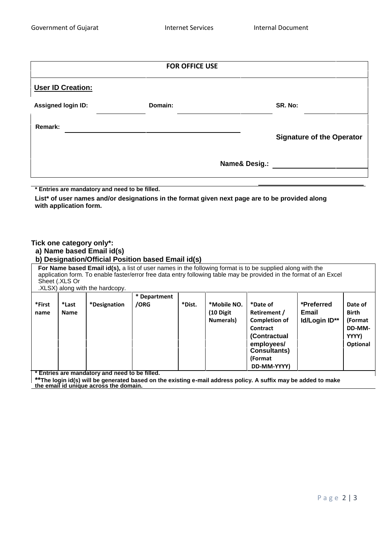| <b>FOR OFFICE USE</b>     |         |                          |                                  |  |  |  |
|---------------------------|---------|--------------------------|----------------------------------|--|--|--|
| <b>User ID Creation:</b>  |         |                          |                                  |  |  |  |
| <b>Assigned login ID:</b> | Domain: |                          | SR. No:                          |  |  |  |
| <b>Remark:</b>            |         |                          | <b>Signature of the Operator</b> |  |  |  |
|                           |         | <b>Name&amp; Desig.:</b> |                                  |  |  |  |

**\* Entries are mandatory and need to be filled.**

**List\* of user names and/or designations in the format given next page are to be provided along with application form.**

#### **Tick one category only\*:**

### **a) Name based Email id(s)**

**b) Designation/Official Position based Email id(s)**

**For Name based Email id(s),** a list of user names in the following format is to be supplied along with the application form. To enable faster/error free data entry following table may be provided in the format of an Excel Sheet (.XLS Or .XLSX) along with the hardcopy. **\*First \*Last \*Designation \* Department /ORG \*Dist. \*Mobile NO. \*Date of \*Preferred Date of name Name (10 Digit Retirement / Email Birth**

|  |  | <b>Numerals</b> ) | <b>Completion of</b>               | Id/Login ID** | (Format  |  |
|--|--|-------------------|------------------------------------|---------------|----------|--|
|  |  |                   | Contract                           |               | DD-MM-   |  |
|  |  |                   | (Contractual                       |               | YYYY)    |  |
|  |  |                   | employees/<br><b>Consultants</b> ) |               | Optional |  |
|  |  |                   | (Format                            |               |          |  |
|  |  |                   | DD-MM-YYYY)                        |               |          |  |

**\* Entries are mandatory and need to be filled.**

**\*\*The login id(s) will be generated based on the existing e-mail address policy. A suffix may be added to make the email id unique across the domain.**